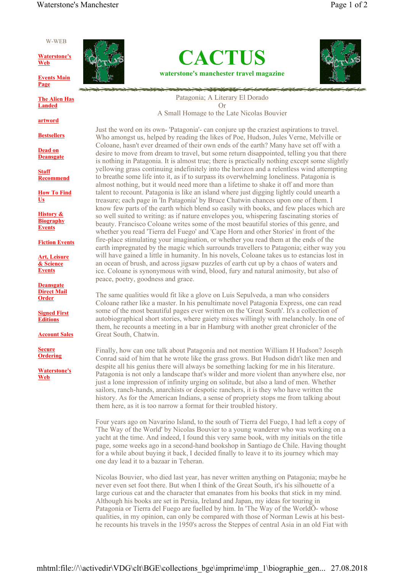#### W-WEB

**Waterstone's Web**

**Events Main Page**

**The Alien Has Landed**

**artword**

**Bestsellers**

**Dead on Deansgate**

**Staff Recommend**

**How To Find Us**

**History & Biography Events**

**Fiction Events**

**Art, Leisure & Science Events**

**Deansgate Direct Mail Order**

**Signed First Editions**

**Account Sales**

**Secure Ordering**

**Waterstone's Web**







Patagonia; A Literary El Dorado Or A Small Homage to the Late Nicolas Bouvier

Just the word on its own- 'Patagonia'- can conjure up the craziest aspirations to travel. Who amongst us, helped by reading the likes of Poe, Hudson, Jules Verne, Melville or Coloane, hasn't ever dreamed of their own ends of the earth? Many have set off with a desire to move from dream to travel, but some return disappointed, telling you that there is nothing in Patagonia. It is almost true; there is practically nothing except some slightly yellowing grass continuing indefinitely into the horizon and a relentless wind attempting to breathe some life into it, as if to surpass its overwhelming loneliness. Patagonia is almost nothing, but it would need more than a lifetime to shake it off and more than talent to recount. Patagonia is like an island where just digging lightly could unearth a treasure; each page in 'In Patagonia' by Bruce Chatwin chances upon one of them. I know few parts of the earth which blend so easily with books, and few places which are so well suited to writing: as if nature envelopes you, whispering fascinating stories of beauty. Francisco Coloane writes some of the most beautiful stories of this genre, and whether you read 'Tierra del Fuego' and 'Cape Horn and other Stories' in front of the fire-place stimulating your imagination, or whether you read them at the ends of the earth impregnated by the magic which surrounds travellers to Patagonia; either way you will have gained a little in humanity. In his novels, Coloane takes us to estancias lost in an ocean of brush, and across jigsaw puzzles of earth cut up by a chaos of waters and ice. Coloane is synonymous with wind, blood, fury and natural animosity, but also of peace, poetry, goodness and grace.

The same qualities would fit like a glove on Luis Sepulveda, a man who considers Coloane rather like a master. In his penultimate novel Patagonia Express, one can read some of the most beautiful pages ever written on the 'Great South'. It's a collection of autobiographical short stories, where gaiety mixes willingly with melancholy. In one of them, he recounts a meeting in a bar in Hamburg with another great chronicler of the Great South, Chatwin.

Finally, how can one talk about Patagonia and not mention William H Hudson? Joseph Conrad said of him that he wrote like the grass grows. But Hudson didn't like men and despite all his genius there will always be something lacking for me in his literature. Patagonia is not only a landscape that's wilder and more violent than anywhere else, nor just a lone impression of infinity urging on solitude, but also a land of men. Whether sailors, ranch-hands, anarchists or despotic ranchers, it is they who have written the history. As for the American Indians, a sense of propriety stops me from talking about them here, as it is too narrow a format for their troubled history.

Four years ago on Navarino Island, to the south of Tierra del Fuego, I had left a copy of 'The Way of the World' by Nicolas Bouvier to a young wanderer who was working on a yacht at the time. And indeed, I found this very same book, with my initials on the title page, some weeks ago in a second-hand bookshop in Santiago de Chile. Having thought for a while about buying it back, I decided finally to leave it to its journey which may one day lead it to a bazaar in Teheran.

Nicolas Bouvier, who died last year, has never written anything on Patagonia; maybe he never even set foot there. But when I think of the Great South, it's his silhouette of a large curious cat and the character that emanates from his books that stick in my mind. Although his books are set in Persia, Ireland and Japan, my ideas for touring in Patagonia or Tierra del Fuego are fuelled by him. In 'The Way of the WorldÕ- whose qualities, in my opinion, can only be compared with those of Norman Lewis at his besthe recounts his travels in the 1950's across the Steppes of central Asia in an old Fiat with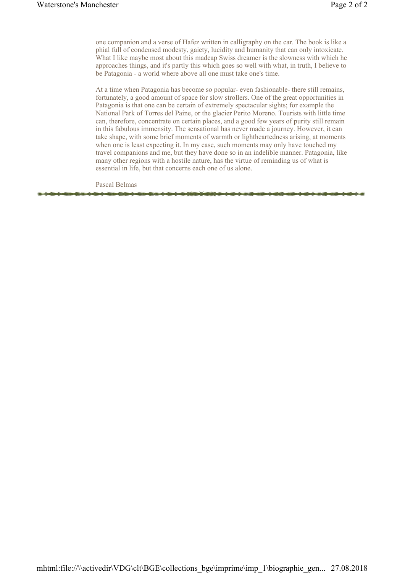one companion and a verse of Hafez written in calligraphy on the car. The book is like a phial full of condensed modesty, gaiety, lucidity and humanity that can only intoxicate. What I like maybe most about this madcap Swiss dreamer is the slowness with which he approaches things, and it's partly this which goes so well with what, in truth, I believe to be Patagonia - a world where above all one must take one's time.

At a time when Patagonia has become so popular- even fashionable- there still remains, fortunately, a good amount of space for slow strollers. One of the great opportunities in Patagonia is that one can be certain of extremely spectacular sights; for example the National Park of Torres del Paine, or the glacier Perito Moreno. Tourists with little time can, therefore, concentrate on certain places, and a good few years of purity still remain in this fabulous immensity. The sensational has never made a journey. However, it can take shape, with some brief moments of warmth or lightheartedness arising, at moments when one is least expecting it. In my case, such moments may only have touched my travel companions and me, but they have done so in an indelible manner. Patagonia, like many other regions with a hostile nature, has the virtue of reminding us of what is essential in life, but that concerns each one of us alone.

Pascal Belmas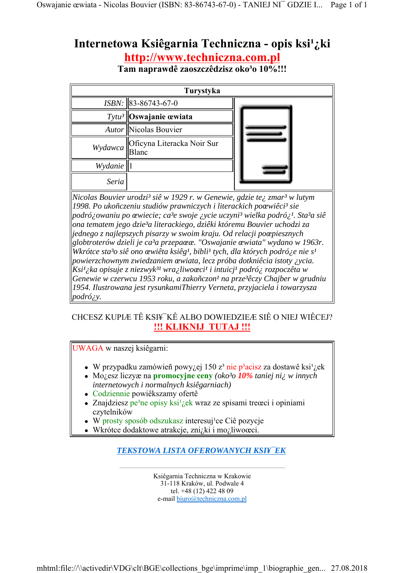# Internetowa Ksiêgarnia Techniczna - opis ksi<sup>1</sup>¿ki **http://www.techniczna.com.pl**

Tam naprawdê zaoszczêdzisz oko<sup>3</sup>o 10%!!!

| Turystyka                               |                            |  |  |  |
|-----------------------------------------|----------------------------|--|--|--|
|                                         | $ISBN:$ 83-86743-67-0      |  |  |  |
|                                         | $Tytu^3$ Oswajanie œwiata  |  |  |  |
|                                         | Autor Nicolas Bouvier      |  |  |  |
| $Wydawca \parallel \sum_{\text{Blanc}}$ | Oficyna Literacka Noir Sur |  |  |  |
| Wydanie                                 |                            |  |  |  |
| Seria                                   |                            |  |  |  |

*Nicolas Bouvier urodzi³ siê w 1929 r. w Genewie, gdzie te¿ zmar³ w lutym 1998. Po ukoñczeniu studiów prawniczych i literackich poœwiêci³ sie podró¿owaniu po œwiecie; ca³e swoje ¿ycie uczyni³ wielka podró¿¹. Sta³a siê ona tematem jego dzie³a literackiego, dziêki któremu Bouvier uchodzi za jednego z najlepszych pisarzy w swoim kraju. Od relacji poœpiesznych globtroterów dzieli je ca³a przepaœæ. "Oswajanie œwiata" wydano w 1963r. Wkrótce sta³o siê ono œwiêta ksiêg¹, bibli¹ tych, dla których podró¿e nie s¹ powierzchownym zwiedzaniem œwiata, lecz próba dotkniêcia istoty ¿ycia. Ksi¹¿ka opisuje z niezwyk³¹ wra¿liwoœci¹ i intuicj¹ podró¿ rozpoczêta w Genewie w czerwcu 1953 roku, a zakoñczon¹ na prze³êczy Chajber w grudniu 1954. Ilustrowana jest rysunkamiThierry Verneta, przyjaciela i towarzysza podró¿y.*

## CHCESZ KUPIÆ TÊ KSI¥¯KÊ ALBO DOWIEDZIEÆ SIÊ O NIEJ WIÊCEJ? **!!! KLIKNIJ TUTAJ !!!**

UWAGA w naszej ksiêgarni:

- W przypadku zamówieñ powy $\chi$ ej 150 z<sup>3</sup> nie p<sup>3</sup>acisz za dostawê ksi<sup>1</sup> $\chi$ ek
- Mogesz liczyæ na **promocyjne ceny** *(oko<sup>3</sup>o 10% taniej niż w innych internetowych i normalnych ksiêgarniach)*
- Codziennie powiêkszamy ofertê
- Znajdziesz pe<sup>3</sup>ne opisy ksi<sup>1</sup> jek wraz ze spisami treœci i opiniami czytelników
- $W$  prosty sposób odszukasz interesuj<sup>1</sup>ce Ciê pozycje
- Wkrótce dodaktowe atrakcje, zni¿ki i mo¿liwoœci.

*TEKSTOWA LISTA OFEROWANYCH KSI¥¯EK*

Ksiêgarnia Techniczna w Krakowie 31-118 Kraków, ul. Podwale 4 tel. +48 (12) 422 48 09 e-mail biuro@techniczna.com.pl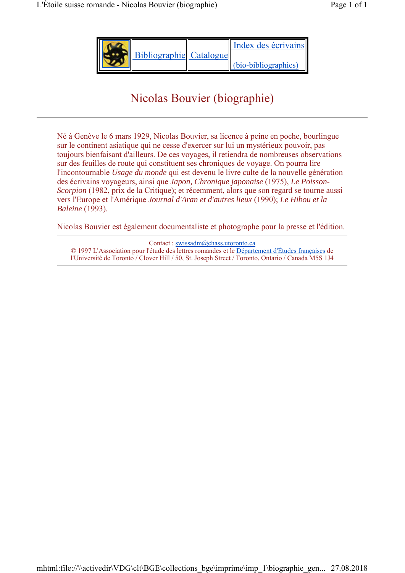| Bibliographie Catalogue | Index des écrivains  |
|-------------------------|----------------------|
|                         | (bio-bibliographies) |

# Nicolas Bouvier (biographie)

Né à Genève le 6 mars 1929, Nicolas Bouvier, sa licence à peine en poche, bourlingue sur le continent asiatique qui ne cesse d'exercer sur lui un mystérieux pouvoir, pas toujours bienfaisant d'ailleurs. De ces voyages, il retiendra de nombreuses observations sur des feuilles de route qui constituent ses chroniques de voyage. On pourra lire l'incontournable *Usage du monde* qui est devenu le livre culte de la nouvelle génération des écrivains voyageurs, ainsi que *Japon, Chronique japonaise* (1975), *Le Poisson-Scorpion* (1982, prix de la Critique); et récemment, alors que son regard se tourne aussi vers l'Europe et l'Amérique *Journal d'Aran et d'autres lieux* (1990); *Le Hibou et la Baleine* (1993).

Nicolas Bouvier est également documentaliste et photographe pour la presse et l'édition.

Contact : swissadm@chass.utoronto.ca © 1997 L'Association pour l'étude des lettres romandes et le Département d'Études françaises de l'Université de Toronto / Clover Hill / 50, St. Joseph Street / Toronto, Ontario / Canada M5S 1J4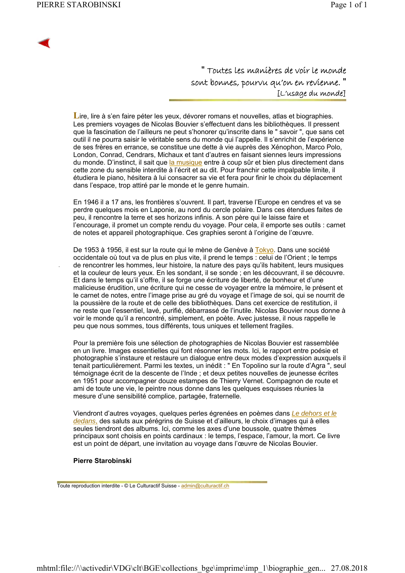.

" Toutes les manières de voir le monde sont bonnes, pourvu qu'on en revienne. " [L'usage du monde]

Lire, lire à s'en faire péter les yeux, dévorer romans et nouvelles, atlas et biographies. Les premiers voyages de Nicolas Bouvier s'effectuent dans les bibliothèques. Il pressent que la fascination de l'ailleurs ne peut s'honorer qu'inscrite dans le " savoir ", que sans cet outil il ne pourra saisir le véritable sens du monde qui l'appelle. Il s'enrichit de l'expérience de ses frères en errance, se constitue une dette à vie auprès des Xénophon, Marco Polo, London, Conrad, Cendrars, Michaux et tant d'autres en faisant siennes leurs impressions du monde. D'instinct, il sait que la musique entre à coup sûr et bien plus directement dans cette zone du sensible interdite à l'écrit et au dit. Pour franchir cette impalpable limite, il étudiera le piano, hésitera à lui consacrer sa vie et fera pour finir le choix du déplacement dans l'espace, trop attiré par le monde et le genre humain.

En 1946 il a 17 ans, les frontières s'ouvrent. Il part, traverse l'Europe en cendres et va se perdre quelques mois en Laponie, au nord du cercle polaire. Dans ces étendues faites de peu, il rencontre la terre et ses horizons infinis. A son père qui le laisse faire et l'encourage, il promet un compte rendu du voyage. Pour cela, il emporte ses outils : carnet de notes et appareil photographique. Ces graphies seront à l'origine de l'œuvre.

De 1953 à 1956, il est sur la route qui le mène de Genève à Tokyo. Dans une société occidentale où tout va de plus en plus vite, il prend le temps : celui de l'Orient ; le temps de rencontrer les hommes, leur histoire, la nature des pays qu'ils habitent, leurs musiques et la couleur de leurs yeux. En les sondant, il se sonde ; en les découvrant, il se découvre. Et dans le temps qu'il s'offre, il se forge une écriture de liberté, de bonheur et d'une malicieuse érudition, une écriture qui ne cesse de voyager entre la mémoire, le présent et le carnet de notes, entre l'image prise au gré du voyage et l'image de soi, qui se nourrit de la poussière de la route et de celle des bibliothèques. Dans cet exercice de restitution, il ne reste que l'essentiel, lavé, purifié, débarrassé de l'inutile. Nicolas Bouvier nous donne à voir le monde qu'il a rencontré, simplement, en poète. Avec justesse, il nous rappelle le peu que nous sommes, tous différents, tous uniques et tellement fragiles.

Pour la première fois une sélection de photographies de Nicolas Bouvier est rassemblée en un livre. Images essentielles qui font résonner les mots. Ici, le rapport entre poésie et photographie s'instaure et restaure un dialogue entre deux modes d'expression auxquels il tenait particulièrement. Parmi les textes, un inédit : " En Topolino sur la route d'Agra ", seul témoignage écrit de la descente de l'Inde ; et deux petites nouvelles de jeunesse écrites en 1951 pour accompagner douze estampes de Thierry Vernet. Compagnon de route et ami de toute une vie, le peintre nous donne dans les quelques esquisses réunies la mesure d'une sensibilité complice, partagée, fraternelle.

Viendront d'autres voyages, quelques perles égrenées en poèmes dans *Le dehors et le dedans*, des saluts aux pérégrins de Suisse et d'ailleurs, le choix d'images qui à elles seules tiendront des albums. Ici, comme les axes d'une boussole, quatre thèmes principaux sont choisis en points cardinaux : le temps, l'espace, l'amour, la mort. Ce livre est un point de départ, une invitation au voyage dans l'œuvre de Nicolas Bouvier.

#### **Pierre Starobinski**

Toute reproduction interdite - © Le Culturactif Suisse - admin@culturactif.ch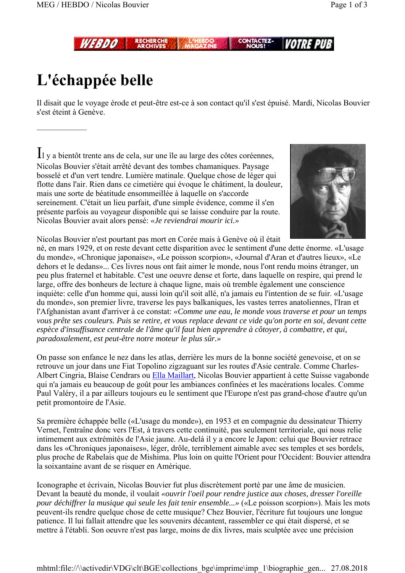*WEBDD* 

# **L'échappée belle**

Il disait que le voyage érode et peut-être est-ce à son contact qu'il s'est épuisé. Mardi, Nicolas Bouvier s'est éteint à Genève.

Il y a bientôt trente ans de cela, sur une île au large des côtes coréennes, Nicolas Bouvier s'était arrêté devant des tombes chamaniques. Paysage bosselé et d'un vert tendre. Lumière matinale. Quelque chose de léger qui flotte dans l'air. Rien dans ce cimetière qui évoque le châtiment, la douleur, mais une sorte de béatitude ensommeillée à laquelle on s'accorde sereinement. C'était un lieu parfait, d'une simple évidence, comme il s'en présente parfois au voyageur disponible qui se laisse conduire par la route. Nicolas Bouvier avait alors pensé: *«Je reviendrai mourir ici.»*



Nicolas Bouvier n'est pourtant pas mort en Corée mais à Genève où il était

né, en mars 1929, et on reste devant cette disparition avec le sentiment d'une dette énorme. «L'usage du monde», «Chronique japonaise», «Le poisson scorpion», «Journal d'Aran et d'autres lieux», «Le dehors et le dedans»... Ces livres nous ont fait aimer le monde, nous l'ont rendu moins étranger, un peu plus fraternel et habitable. C'est une oeuvre dense et forte, dans laquelle on respire, qui prend le large, offre des bonheurs de lecture à chaque ligne, mais où tremble également une conscience inquiète: celle d'un homme qui, aussi loin qu'il soit allé, n'a jamais eu l'intention de se fuir. «L'usage du monde», son premier livre, traverse les pays balkaniques, les vastes terres anatoliennes, l'Iran et l'Afghanistan avant d'arriver à ce constat: *«Comme une eau, le monde vous traverse et pour un temps vous prête ses couleurs. Puis se retire, et vous replace devant ce vide qu'on porte en soi, devant cette espèce d'insuffisance centrale de l'âme qu'il faut bien apprendre à côtoyer, à combattre, et qui, paradoxalement, est peut-être notre moteur le plus sûr.»*

On passe son enfance le nez dans les atlas, derrière les murs de la bonne société genevoise, et on se retrouve un jour dans une Fiat Topolino zigzaguant sur les routes d'Asie centrale. Comme Charles-Albert Cingria, Blaise Cendrars ou Ella Maillart, Nicolas Bouvier appartient à cette Suisse vagabonde qui n'a jamais eu beaucoup de goût pour les ambiances confinées et les macérations locales. Comme Paul Valéry, il a par ailleurs toujours eu le sentiment que l'Europe n'est pas grand-chose d'autre qu'un petit promontoire de l'Asie.

Sa première échappée belle («L'usage du monde»), en 1953 et en compagnie du dessinateur Thierry Vernet, l'entraîne donc vers l'Est, à travers cette continuité, pas seulement territoriale, qui nous relie intimement aux extrémités de l'Asie jaune. Au-delà il y a encore le Japon: celui que Bouvier retrace dans les «Chroniques japonaises», léger, drôle, terriblement aimable avec ses temples et ses bordels, plus proche de Rabelais que de Mishima. Plus loin on quitte l'Orient pour l'Occident: Bouvier attendra la soixantaine avant de se risquer en Amérique.

Iconographe et écrivain, Nicolas Bouvier fut plus discrètement porté par une âme de musicien. Devant la beauté du monde, il voulait *«ouvrir l'oeil pour rendre justice aux choses, dresser l'oreille pour déchiffrer la musique qui seule les fait tenir ensemble...»* («Le poisson scorpion»). Mais les mots peuvent-ils rendre quelque chose de cette musique? Chez Bouvier, l'écriture fut toujours une longue patience. Il lui fallait attendre que les souvenirs décantent, rassembler ce qui était dispersé, et se mettre à l'établi. Son oeuvre n'est pas large, moins de dix livres, mais sculptée avec une précision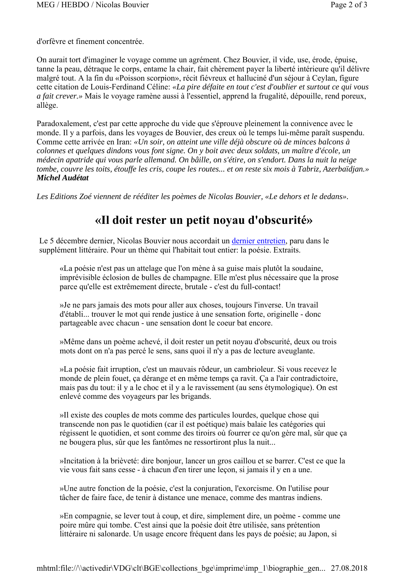d'orfèvre et finement concentrée.

On aurait tort d'imaginer le voyage comme un agrément. Chez Bouvier, il vide, use, érode, épuise, tanne la peau, détraque le corps, entame la chair, fait chèrement payer la liberté intérieure qu'il délivre malgré tout. A la fin du «Poisson scorpion», récit fiévreux et halluciné d'un séjour à Ceylan, figure cette citation de Louis-Ferdinand Céline: *«La pire défaite en tout c'est d'oublier et surtout ce qui vous a fait crever.»* Mais le voyage ramène aussi à l'essentiel, apprend la frugalité, dépouille, rend poreux, allège.

Paradoxalement, c'est par cette approche du vide que s'éprouve pleinement la connivence avec le monde. Il y a parfois, dans les voyages de Bouvier, des creux où le temps lui-même paraît suspendu. Comme cette arrivée en Iran: *«Un soir, on atteint une ville déjà obscure où de minces balcons à colonnes et quelques dindons vous font signe. On y boit avec deux soldats, un maître d'école, un médecin apatride qui vous parle allemand. On bâille, on s'étire, on s'endort. Dans la nuit la neige tombe, couvre les toits, étouffe les cris, coupe les routes... et on reste six mois à Tabriz, Azerbaïdjan.» Michel Audétat*

*Les Editions Zoé viennent de rééditer les poèmes de Nicolas Bouvier, «Le dehors et le dedans».*

## **«Il doit rester un petit noyau d'obscurité»**

Le 5 décembre dernier, Nicolas Bouvier nous accordait un dernier entretien, paru dans le supplément littéraire. Pour un thème qui l'habitait tout entier: la poésie. Extraits.

«La poésie n'est pas un attelage que l'on mène à sa guise mais plutôt la soudaine, imprévisible éclosion de bulles de champagne. Elle m'est plus nécessaire que la prose parce qu'elle est extrêmement directe, brutale - c'est du full-contact!

»Je ne pars jamais des mots pour aller aux choses, toujours l'inverse. Un travail d'établi... trouver le mot qui rende justice à une sensation forte, originelle - donc partageable avec chacun - une sensation dont le coeur bat encore.

»Même dans un poème achevé, il doit rester un petit noyau d'obscurité, deux ou trois mots dont on n'a pas percé le sens, sans quoi il n'y a pas de lecture aveuglante.

»La poésie fait irruption, c'est un mauvais rôdeur, un cambrioleur. Si vous recevez le monde de plein fouet, ça dérange et en même temps ça ravit. Ça a l'air contradictoire, mais pas du tout: il y a le choc et il y a le ravissement (au sens étymologique). On est enlevé comme des voyageurs par les brigands.

»Il existe des couples de mots comme des particules lourdes, quelque chose qui transcende non pas le quotidien (car il est poétique) mais balaie les catégories qui régissent le quotidien, et sont comme des tiroirs où fourrer ce qu'on gère mal, sûr que ça ne bougera plus, sûr que les fantômes ne ressortiront plus la nuit...

»Incitation à la brièveté: dire bonjour, lancer un gros caillou et se barrer. C'est ce que la vie vous fait sans cesse - à chacun d'en tirer une leçon, si jamais il y en a une.

»Une autre fonction de la poésie, c'est la conjuration, l'exorcisme. On l'utilise pour tâcher de faire face, de tenir à distance une menace, comme des mantras indiens.

»En compagnie, se lever tout à coup, et dire, simplement dire, un poème - comme une poire mûre qui tombe. C'est ainsi que la poésie doit être utilisée, sans prétention littéraire ni salonarde. Un usage encore fréquent dans les pays de poésie; au Japon, si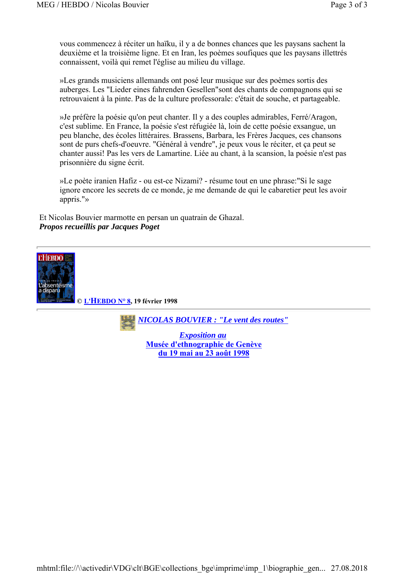vous commencez à réciter un haïku, il y a de bonnes chances que les paysans sachent la deuxième et la troisième ligne. Et en Iran, les poèmes soufiques que les paysans illettrés connaissent, voilà qui remet l'église au milieu du village.

»Les grands musiciens allemands ont posé leur musique sur des poèmes sortis des auberges. Les "Lieder eines fahrenden Gesellen"sont des chants de compagnons qui se retrouvaient à la pinte. Pas de la culture professorale: c'était de souche, et partageable.

»Je préfère la poésie qu'on peut chanter. Il y a des couples admirables, Ferré/Aragon, c'est sublime. En France, la poésie s'est réfugiée là, loin de cette poésie exsangue, un peu blanche, des écoles littéraires. Brassens, Barbara, les Frères Jacques, ces chansons sont de purs chefs-d'oeuvre. "Général à vendre", je peux vous le réciter, et ça peut se chanter aussi! Pas les vers de Lamartine. Liée au chant, à la scansion, la poésie n'est pas prisonnière du signe écrit.

»Le poète iranien Hafiz - ou est-ce Nizami? - résume tout en une phrase:"Si le sage ignore encore les secrets de ce monde, je me demande de qui le cabaretier peut les avoir appris."»

Et Nicolas Bouvier marmotte en persan un quatrain de Ghazal. *Propos recueillis par Jacques Poget*



**du 19 mai au 23 août 1998**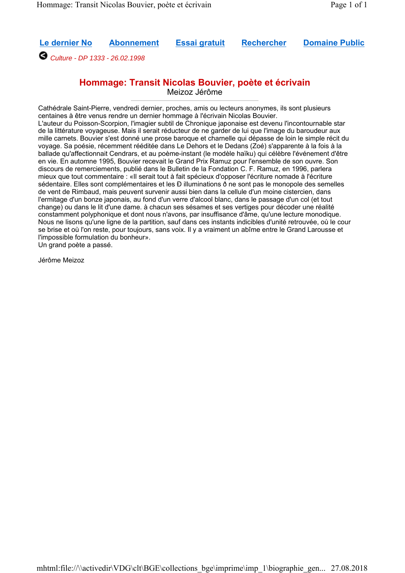**Le dernier No Abonnement Essai gratuit Rechercher Domaine Public**

*Culture - DP 1333 - 26.02.1998*

## **Hommage: Transit Nicolas Bouvier, poète et écrivain**

Meizoz Jérôme

Cathédrale Saint-Pierre, vendredi dernier, proches, amis ou lecteurs anonymes, ils sont plusieurs centaines à être venus rendre un dernier hommage à l'écrivain Nicolas Bouvier. L'auteur du Poisson-Scorpion, l'imagier subtil de Chronique japonaise est devenu l'incontournable star de la littérature voyageuse. Mais il serait réducteur de ne garder de lui que l'image du baroudeur aux mille carnets. Bouvier s'est donné une prose baroque et charnelle qui dépasse de loin le simple récit du voyage. Sa poésie, récemment rééditée dans Le Dehors et le Dedans (Zoé) s'apparente à la fois à la ballade qu'affectionnait Cendrars, et au poème-instant (le modèle haïku) qui célèbre l'événement d'être en vie. En automne 1995, Bouvier recevait le Grand Prix Ramuz pour l'ensemble de son ouvre. Son discours de remerciements, publié dans le Bulletin de la Fondation C. F. Ramuz, en 1996, parlera mieux que tout commentaire : «Il serait tout à fait spécieux d'opposer l'écriture nomade à l'écriture sédentaire. Elles sont complémentaires et les Ð illuminations ð ne sont pas le monopole des semelles de vent de Rimbaud, mais peuvent survenir aussi bien dans la cellule d'un moine cistercien, dans l'ermitage d'un bonze japonais, au fond d'un verre d'alcool blanc, dans le passage d'un col (et tout change) ou dans le lit d'une dame. à chacun ses sésames et ses vertiges pour décoder une réalité constamment polyphonique et dont nous n'avons, par insuffisance d'âme, qu'une lecture monodique. Nous ne lisons qu'une ligne de la partition, sauf dans ces instants indicibles d'unité retrouvée, où le cour se brise et où l'on reste, pour toujours, sans voix. Il y a vraiment un abîme entre le Grand Larousse et l'impossible formulation du bonheur».

Un grand poète a passé.

Jérôme Meizoz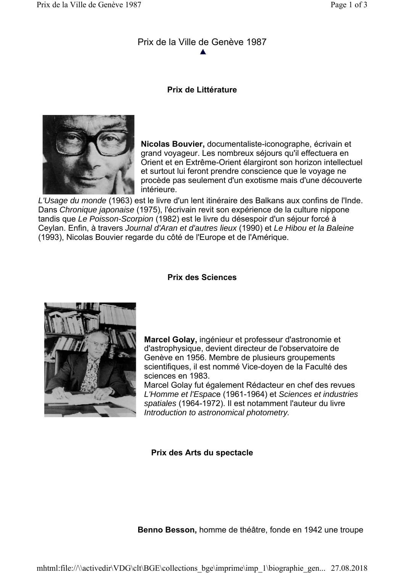## Prix de la Ville de Genève 1987

## **Prix de Littérature**



**Nicolas Bouvier,** documentaliste-iconographe, écrivain et grand voyageur. Les nombreux séjours qu'il effectuera en Orient et en Extrême-Orient élargiront son horizon intellectuel et surtout lui feront prendre conscience que le voyage ne procède pas seulement d'un exotisme mais d'une découverte intérieure.

*L'Usage du monde* (1963) est le livre d'un lent itinéraire des Balkans aux confins de l'Inde. Dans *Chronique japonaise* (1975), l'écrivain revit son expérience de la culture nippone tandis que *Le Poisson-Scorpion* (1982) est le livre du désespoir d'un séjour forcé à Ceylan. Enfin, à travers *Journal d'Aran et d'autres lieux* (1990) et *Le Hibou et la Baleine* (1993), Nicolas Bouvier regarde du côté de l'Europe et de l'Amérique.

## **Prix des Sciences**



**Marcel Golay,** ingénieur et professeur d'astronomie et d'astrophysique, devient directeur de l'observatoire de Genève en 1956. Membre de plusieurs groupements scientifiques, il est nommé Vice-doyen de la Faculté des sciences en 1983.

Marcel Golay fut également Rédacteur en chef des revues *L'Homme et l'Espac*e (1961-1964) et *Sciences et industries spatiales* (1964-1972). Il est notamment l'auteur du livre *Introduction to astronomical photometry.*

## **Prix des Arts du spectacle**

**Benno Besson,** homme de théâtre, fonde en 1942 une troupe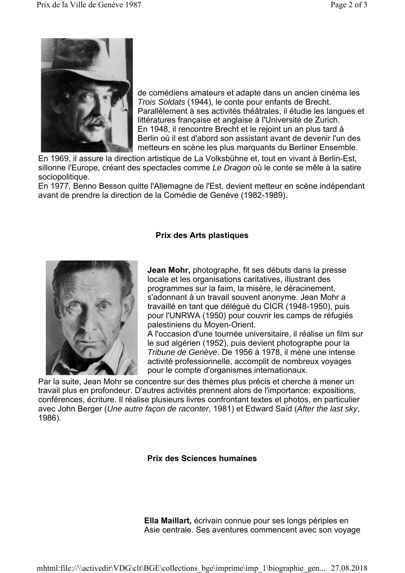

de comédiens amateurs et adapte dans un ancien cinéma les *Trois Soldats* (1944), le conte pour enfants de Brecht. Parallèlement à ses activités théâtrales, il étudie les langues et littératures française et anglaise à l'Université de Zurich. En 1948, il rencontre Brecht et le rejoint un an plus tard à Berlin où il est d'abord son assistant avant de devenir l'un des metteurs en scène les plus marquants du Berliner Ensemble.

En 1969, il assure la direction artistique de La Volksbühne et, tout en vivant à Berlin-Est, sillonne l'Europe, créant des spectacles comme *Le Dragon* où le conte se mêle à la satire sociopolitique.

En 1977, Benno Besson quitte l'Allemagne de l'Est, devient metteur en scène indépendant avant de prendre la direction de la Comédie de Genève (1982-1989).

### **Prix des Arts plastiques**



**Jean Mohr,** photographe, fit ses débuts dans la presse locale et les organisations caritatives, illustrant des programmes sur la faim, la misère, le déracinement, s'adonnant à un travail souvent anonyme. Jean Mohr a travaillé en tant que délégué du CICR (1948-1950), puis pour l'UNRWA (1950) pour couvrir les camps de réfugiés palestiniens du Moyen-Orient.

A l'occasion d'une tournée universitaire, il réalise un film sur le sud algérien (1952), puis devient photographe pour la *Tribune de Genève*. De 1956 à 1978, il mène une intense activité professionnelle, accomplit de nombreux voyages pour le compte d'organismes internationaux.

Par la suite, Jean Mohr se concentre sur des thèmes plus précis et cherche à mener un travail plus en profondeur. D'autres activités prennent alors de l'importance: expositions, conférences, écriture. Il réalise plusieurs livres confrontant textes et photos, en particulier avec John Berger (*Une autre façon de raconter*, 1981) et Edward Saïd (*After the last sky*, 1986).

**Prix des Sciences humaines**

**Ella Maillart,** écrivain connue pour ses longs périples en Asie centrale. Ses aventures commencent avec son voyage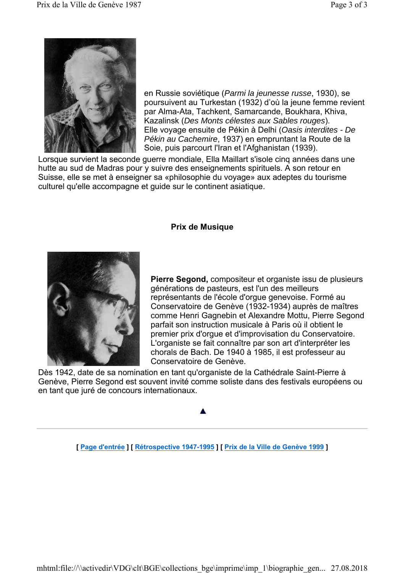

en Russie soviétique (*Parmi la jeunesse russe*, 1930), se poursuivent au Turkestan (1932) d'où la jeune femme revient par Alma-Ata, Tachkent, Samarcande, Boukhara, Khiva, Kazalinsk (*Des Monts célestes aux Sables rouges*). Elle voyage ensuite de Pékin à Delhi (*Oasis interdites - De Pékin au Cachemire*, 1937) en empruntant la Route de la Soie, puis parcourt l'Iran et l'Afghanistan (1939).

Lorsque survient la seconde guerre mondiale, Ella Maillart s'isole cinq années dans une hutte au sud de Madras pour y suivre des enseignements spirituels. A son retour en Suisse, elle se met à enseigner sa «philosophie du voyage» aux adeptes du tourisme culturel qu'elle accompagne et guide sur le continent asiatique.

## **Prix de Musique**



**Pierre Segond,** compositeur et organiste issu de plusieurs générations de pasteurs, est l'un des meilleurs représentants de l'école d'orgue genevoise. Formé au Conservatoire de Genève (1932-1934) auprès de maîtres comme Henri Gagnebin et Alexandre Mottu, Pierre Segond parfait son instruction musicale à Paris où il obtient le premier prix d'orgue et d'improvisation du Conservatoire. L'organiste se fait connaître par son art d'interpréter les chorals de Bach. De 1940 à 1985, il est professeur au Conservatoire de Genève.

Dès 1942, date de sa nomination en tant qu'organiste de la Cathédrale Saint-Pierre à Genève, Pierre Segond est souvent invité comme soliste dans des festivals européens ou en tant que juré de concours internationaux.

**[ Page d'entrée ] [ Rétrospective 1947-1995 ] [ Prix de la Ville de Genève 1999 ]**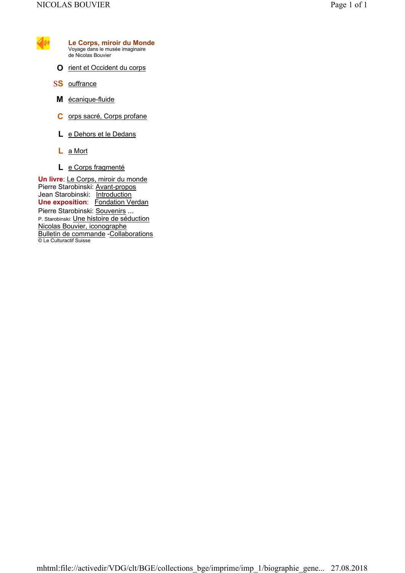

- **O** rient et Occident du corps
- S**S** ouffrance
- **M** écanique-fluide
- **C** orps sacré, Corps profane
- **L** e Dehors et le Dedans
- **L** a Mort
- **L** e Corps fragmenté

**Un livre**: Le Corps, miroir du monde Pierre Starobinski: Avant-propos Jean Starobinski: Introduction **Une exposition:** Fondation Verdan Pierre Starobinski: Souvenirs ... P. Starobinski: Une histoire de séduction Nicolas Bouvier, iconographe Bulletin de commande -Collaborations © Le Culturactif Suisse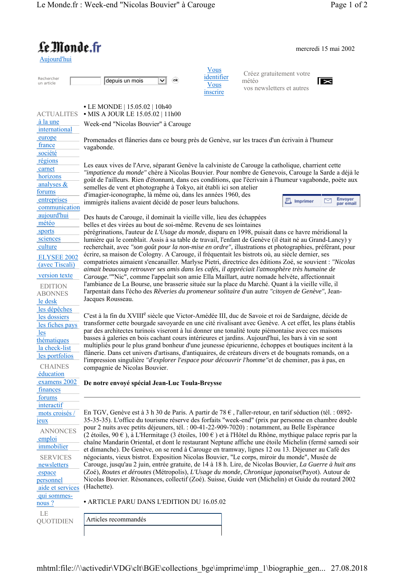#### mercredi 15 mai 2002

| ни<br>æ |  |
|---------|--|
|         |  |

Le Monde.fr

Rechercher

Rechercher  $\overline{\phantom{a}}$  depuis un mois  $\overline{\phantom{a}}$ 

ok

Vous identifier Vous inscrire

Créez gratuitement votre météo vos newsletters et autres



**•** LE MONDE | 15.05.02 | 10h40 ACTUALITES **•** MIS A JOUR LE 15.05.02 | 11h00 à la une Week-end "Nicolas Bouvier" à Carouge international europe Promenades et flâneries dans ce bourg près de Genève, sur les traces d'un écrivain à l'humeur france vagabonde. société régions Les eaux vives de l'Arve, séparant Genève la calviniste de Carouge la catholique, charrient cette carnet *"impatience du monde"* chère à Nicolas Bouvier. Pour nombre de Genevois, Carouge la Sarde a déjà le horizons goût de l'ailleurs. Rien d'étonnant, dans ces conditions, que l'écrivain à l'humeur vagabonde, poète aux analyses & semelles de vent et photographe à Tokyo, ait établi ici son atelier forums d'imagier-iconographe, là même où, dans les années 1960, des Envoyer<br>par email entreprises Imprimer ▽ immigrés italiens avaient décidé de poser leurs baluchons. communication aujourd'hui Des hauts de Carouge, il dominait la vieille ville, lieu des échappées météo belles et des virées au bout de soi-même. Revenu de ses lointaines sports pérégrinations, l'auteur de *L'Usage du monde*, disparu en 1998, puisait dans ce havre méridional la sciences lumière qui le comblait. Assis à sa table de travail, l'enfant de Genève (il était né au Grand-Lancy) y culture recherchait, avec *"son goût pour la non-mise en ordre",* illustrations et photographies, préférant, pour écrire, sa maison de Cologny. A Carouge, il fréquentait les bistrots où, au siècle dernier, ses ELYSEE 2002 compatriotes aimaient s'encanailler. Marlyse Pietri, directrice des éditions Zoé, se souvient : *"Nicolas*  (avec Tiscali) *aimait beaucoup retrouver ses amis dans les cafés, il appréciait l'atmosphère très humaine de*  version texte *Carouge."*"Nic", comme l'appelait son amie Ella Maillart, autre nomade helvète, affectionnait l'ambiance de La Bourse, une brasserie située sur la place du Marché. Quant à la vieille ville, il EDITION l'arpentait dans l'écho des *Rêveries du promeneur solitaire* d'un autre *"citoyen de Genève"*, Jean-ABONNES Jacques Rousseau. le desk les dépêches C'est à la fin du XVIII<sup>e</sup> siècle que Victor-Amédée III, duc de Savoie et roi de Sardaigne, décide de les dossiers transformer cette bourgade savoyarde en une cité rivalisant avec Genève. A cet effet, les plans établis les fiches pays par des architectes turinois viseront à lui donner une tonalité toute piémontaise avec ces maisons les basses à galeries en bois cachant cours intérieures et jardins. Aujourd'hui, les bars à vin se sont thématiques multipliés pour le plus grand bonheur d'une jeunesse épicurienne, échoppes et boutiques incitent à la la check-list flânerie. Dans cet univers d'artisans, d'antiquaires, de créateurs divers et de bougnats romands, on a les portfolios l'impression singulière *"d'explorer l'espace pour découvrir l'homme"*et de cheminer, pas à pas, en **CHAINES** compagnie de Nicolas Bouvier. éducation examens 2002 **De notre envoyé spécial Jean-Luc Toula-Breysse** finances forums interactif En TGV, Genève est à 3 h 30 de Paris. A partir de 78  $\epsilon$ , l'aller-retour, en tarif séduction (tél. : 0892 mots croisés / 35-35-35). L'office du tourisme réserve des forfaits "week-end" (prix par personne en chambre double jeux pour 2 nuits avec petits déjeuners, tél. : 00-41-22-909-7020) : notamment, au Belle Espérance ANNONCES (2 étoiles, 90 €), à L'Hermitage (3 étoiles, 100 €) et à l'Hôtel du Rhône, mythique palace repris par la emploi chaîne Mandarin Oriental, et dont le restaurant Neptune affiche une étoile Michelin (fermé samedi soir immobilier et dimanche). De Genève, on se rend à Carouge en tramway, lignes 12 ou 13. Déjeuner au Café des négociants, vieux bistrot. Exposition Nicolas Bouvier, "Le corps, miroir du monde", Musée de SERVICES newsletters Carouge, jusqu'au 2 juin, entrée gratuite, de 14 à 18 h. Lire, de Nicolas Bouvier, *La Guerre à huit ans*  (Zoé), *Routes et déroutes* (Métropolis), *L'Usage du monde*, *Chronique japonaise*(Payot). Autour de espace Nicolas Bouvier. Résonances, collectif (Zoé). Suisse, Guide vert (Michelin) et Guide du routard 2002 personnel (Hachette). aide et services qui sommes-**•** ARTICLE PARU DANS L'EDITION DU 16.05.02 nous ? LE Articles recommandés **QUOTIDIEN** 

mhtml:file://\\activedir\VDG\clt\BGE\collections bge\imprime\imp\_1\biographie\_gen... 27.08.2018